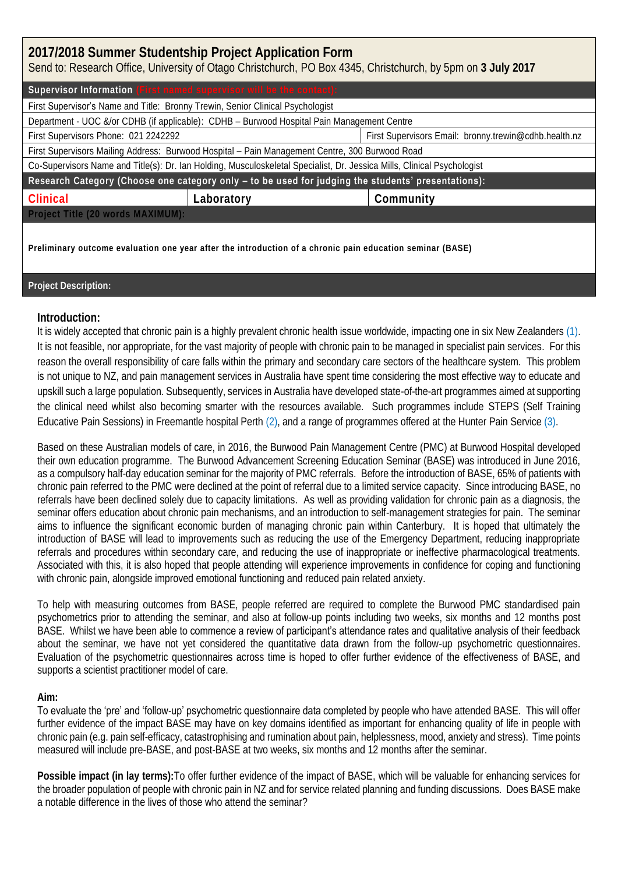| 2017/2018 Summer Studentship Project Application Form<br>Send to: Research Office, University of Otago Christchurch, PO Box 4345, Christchurch, by 5pm on 3 July 2017 |                                                                                                           |                                                       |  |
|-----------------------------------------------------------------------------------------------------------------------------------------------------------------------|-----------------------------------------------------------------------------------------------------------|-------------------------------------------------------|--|
| Supervisor Information (First named supervisor will be the contact):                                                                                                  |                                                                                                           |                                                       |  |
| First Supervisor's Name and Title: Bronny Trewin, Senior Clinical Psychologist                                                                                        |                                                                                                           |                                                       |  |
| Department - UOC &/or CDHB (if applicable): CDHB - Burwood Hospital Pain Management Centre                                                                            |                                                                                                           |                                                       |  |
| First Supervisors Phone: 021 2242292                                                                                                                                  |                                                                                                           | First Supervisors Email: bronny.trewin@cdhb.health.nz |  |
| First Supervisors Mailing Address: Burwood Hospital - Pain Management Centre, 300 Burwood Road                                                                        |                                                                                                           |                                                       |  |
| Co-Supervisors Name and Title(s): Dr. Ian Holding, Musculoskeletal Specialist, Dr. Jessica Mills, Clinical Psychologist                                               |                                                                                                           |                                                       |  |
| Research Category (Choose one category only - to be used for judging the students' presentations):                                                                    |                                                                                                           |                                                       |  |
| Clinical                                                                                                                                                              | Laboratory                                                                                                | Community                                             |  |
| Project Title (20 words MAXIMUM):                                                                                                                                     |                                                                                                           |                                                       |  |
|                                                                                                                                                                       | Preliminary outcome evaluation one year after the introduction of a chronic pain education seminar (BASE) |                                                       |  |

## **Project Description:**

## **Introduction:**

It is widely accepted that chronic pain is a highly prevalent chronic health issue worldwide, impacting one in six New Zealanders (1). It is not feasible, nor appropriate, for the vast majority of people with chronic pain to be managed in specialist pain services. For this reason the overall responsibility of care falls within the primary and secondary care sectors of the healthcare system. This problem is not unique to NZ, and pain management services in Australia have spent time considering the most effective way to educate and upskill such a large population. Subsequently, services in Australia have developed state-of-the-art programmes aimed at supporting the clinical need whilst also becoming smarter with the resources available. Such programmes include STEPS (Self Training Educative Pain Sessions) in Freemantle hospital Perth (2), and a range of programmes offered at the Hunter Pain Service (3).

Based on these Australian models of care, in 2016, the Burwood Pain Management Centre (PMC) at Burwood Hospital developed their own education programme. The Burwood Advancement Screening Education Seminar (BASE) was introduced in June 2016, as a compulsory half-day education seminar for the majority of PMC referrals. Before the introduction of BASE, 65% of patients with chronic pain referred to the PMC were declined at the point of referral due to a limited service capacity. Since introducing BASE, no referrals have been declined solely due to capacity limitations. As well as providing validation for chronic pain as a diagnosis, the seminar offers education about chronic pain mechanisms, and an introduction to self-management strategies for pain. The seminar aims to influence the significant economic burden of managing chronic pain within Canterbury. It is hoped that ultimately the introduction of BASE will lead to improvements such as reducing the use of the Emergency Department, reducing inappropriate referrals and procedures within secondary care, and reducing the use of inappropriate or ineffective pharmacological treatments. Associated with this, it is also hoped that people attending will experience improvements in confidence for coping and functioning with chronic pain, alongside improved emotional functioning and reduced pain related anxiety.

To help with measuring outcomes from BASE, people referred are required to complete the Burwood PMC standardised pain psychometrics prior to attending the seminar, and also at follow-up points including two weeks, six months and 12 months post BASE. Whilst we have been able to commence a review of participant's attendance rates and qualitative analysis of their feedback about the seminar, we have not yet considered the quantitative data drawn from the follow-up psychometric questionnaires. Evaluation of the psychometric questionnaires across time is hoped to offer further evidence of the effectiveness of BASE, and supports a scientist practitioner model of care.

## **Aim:**

To evaluate the 'pre' and 'follow-up' psychometric questionnaire data completed by people who have attended BASE. This will offer further evidence of the impact BASE may have on key domains identified as important for enhancing quality of life in people with chronic pain (e.g. pain self-efficacy, catastrophising and rumination about pain, helplessness, mood, anxiety and stress). Time points measured will include pre-BASE, and post-BASE at two weeks, six months and 12 months after the seminar.

**Possible impact (in lay terms):**To offer further evidence of the impact of BASE, which will be valuable for enhancing services for the broader population of people with chronic pain in NZ and for service related planning and funding discussions. Does BASE make a notable difference in the lives of those who attend the seminar?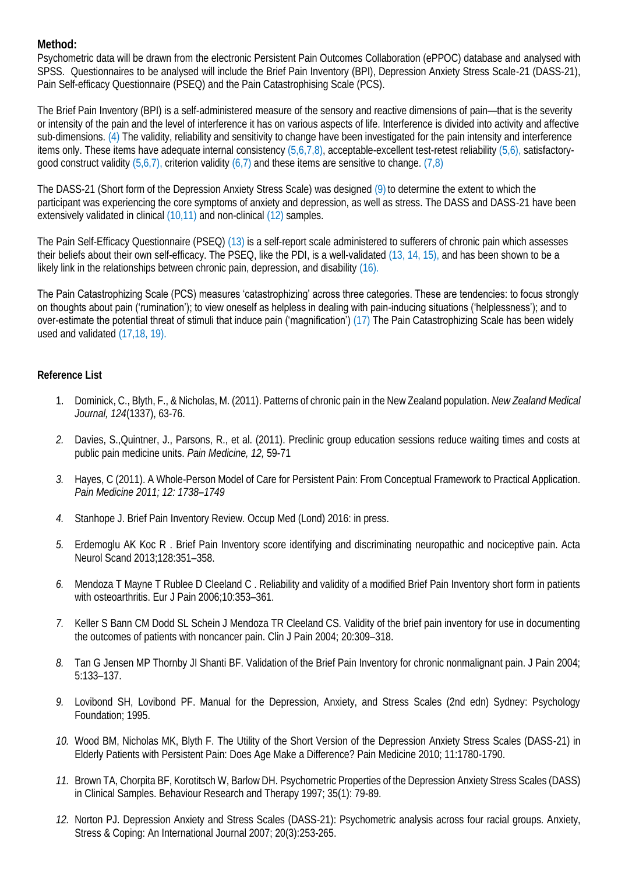**Method:**

Psychometric data will be drawn from the electronic Persistent Pain Outcomes Collaboration (ePPOC) database and analysed with SPSS. Questionnaires to be analysed will include the Brief Pain Inventory (BPI), Depression Anxiety Stress Scale-21 (DASS-21), Pain Self-efficacy Questionnaire (PSEQ) and the Pain Catastrophising Scale (PCS).

The Brief Pain Inventory (BPI) is a self-administered measure of the sensory and reactive dimensions of pain—that is the severity or intensity of the pain and the level of interference it has on various aspects of life. Interference is divided into activity and affective sub-dimensions. (4) The validity, reliability and sensitivity to change have been investigated for the pain intensity and interference items only. These items have adequate internal consistency (5,6,7,8), acceptable-excellent test-retest reliability (5,6), satisfactorygood construct validity  $(5,6,7)$ , criterion validity  $(6,7)$  and these items are sensitive to change.  $(7,8)$ 

The DASS-21 (Short form of the Depression Anxiety Stress Scale) was designed (9) to determine the extent to which the participant was experiencing the core symptoms of anxiety and depression, as well as stress. The DASS and DASS-21 have been extensively validated in clinical (10,11) and non-clinical (12) samples.

The Pain Self-Efficacy Questionnaire (PSEQ) (13) is a self-report scale administered to sufferers of chronic pain which assesses their beliefs about their own self-efficacy. The PSEQ, like the PDI, is a well-validated (13, 14, 15), and has been shown to be a likely link in the relationships between chronic pain, depression, and disability (16).

The Pain Catastrophizing Scale (PCS) measures 'catastrophizing' across three categories. These are tendencies: to focus strongly on thoughts about pain ('rumination'); to view oneself as helpless in dealing with pain-inducing situations ('helplessness'); and to over-estimate the potential threat of stimuli that induce pain ('magnification') (17) The Pain Catastrophizing Scale has been widely used and validated (17,18, 19).

## **Reference List**

- 1. Dominick, C., Blyth, F., & Nicholas, M. (2011). Patterns of chronic pain in the New Zealand population. *New Zealand Medical Journal, 124*(1337), 63-76.
- *2.* Davies, S.,Quintner, J., Parsons, R., et al. (2011). Preclinic group education sessions reduce waiting times and costs at public pain medicine units. *Pain Medicine, 12,* 59-71
- *3.* Hayes, C (2011). A Whole-Person Model of Care for Persistent Pain: From Conceptual Framework to Practical Application. *Pain Medicine 2011; 12: 1738–1749*
- *4.* Stanhope J. Brief Pain Inventory Review. Occup Med (Lond) 2016: in press.
- *5.* Erdemoglu AK Koc R . Brief Pain Inventory score identifying and discriminating neuropathic and nociceptive pain. Acta Neurol Scand 2013;128:351–358.
- *6.* Mendoza T Mayne T Rublee D Cleeland C . Reliability and validity of a modified Brief Pain Inventory short form in patients with osteoarthritis. Eur J Pain 2006;10:353–361.
- *7.* Keller S Bann CM Dodd SL Schein J Mendoza TR Cleeland CS. Validity of the brief pain inventory for use in documenting the outcomes of patients with noncancer pain. Clin J Pain 2004; 20:309–318.
- *8.* Tan G Jensen MP Thornby JI Shanti BF. Validation of the Brief Pain Inventory for chronic nonmalignant pain. J Pain 2004; 5:133–137.
- *9.* Lovibond SH, Lovibond PF. Manual for the Depression, Anxiety, and Stress Scales (2nd edn) Sydney: Psychology Foundation; 1995.
- *10.* Wood BM, Nicholas MK, Blyth F. The Utility of the Short Version of the Depression Anxiety Stress Scales (DASS-21) in Elderly Patients with Persistent Pain: Does Age Make a Difference? Pain Medicine 2010; 11:1780-1790.
- *11.* Brown TA, Chorpita BF, Korotitsch W, Barlow DH. Psychometric Properties of the Depression Anxiety Stress Scales (DASS) in Clinical Samples. Behaviour Research and Therapy 1997; 35(1): 79-89.
- *12.* Norton PJ. Depression Anxiety and Stress Scales (DASS-21): Psychometric analysis across four racial groups. Anxiety, Stress & Coping: An International Journal 2007; 20(3):253-265.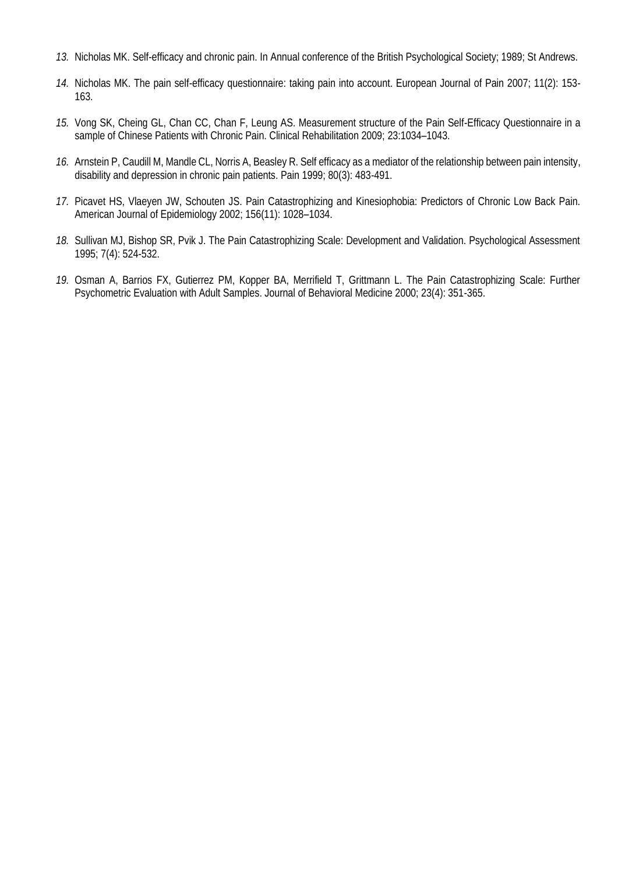- *13.* Nicholas MK. Self-efficacy and chronic pain. In Annual conference of the British Psychological Society; 1989; St Andrews.
- *14.* Nicholas MK. The pain self-efficacy questionnaire: taking pain into account. European Journal of Pain 2007; 11(2): 153- 163.
- *15.* Vong SK, Cheing GL, Chan CC, Chan F, Leung AS. Measurement structure of the Pain Self-Efficacy Questionnaire in a sample of Chinese Patients with Chronic Pain. Clinical Rehabilitation 2009; 23:1034–1043.
- *16.* Arnstein P, Caudill M, Mandle CL, Norris A, Beasley R. Self efficacy as a mediator of the relationship between pain intensity, disability and depression in chronic pain patients. Pain 1999; 80(3): 483-491.
- *17.* Picavet HS, Vlaeyen JW, Schouten JS. Pain Catastrophizing and Kinesiophobia: Predictors of Chronic Low Back Pain. American Journal of Epidemiology 2002; 156(11): 1028–1034.
- *18.* Sullivan MJ, Bishop SR, Pvik J. The Pain Catastrophizing Scale: Development and Validation. Psychological Assessment 1995; 7(4): 524-532.
- *19.* Osman A, Barrios FX, Gutierrez PM, Kopper BA, Merrifield T, Grittmann L. The Pain Catastrophizing Scale: Further Psychometric Evaluation with Adult Samples. Journal of Behavioral Medicine 2000; 23(4): 351-365.